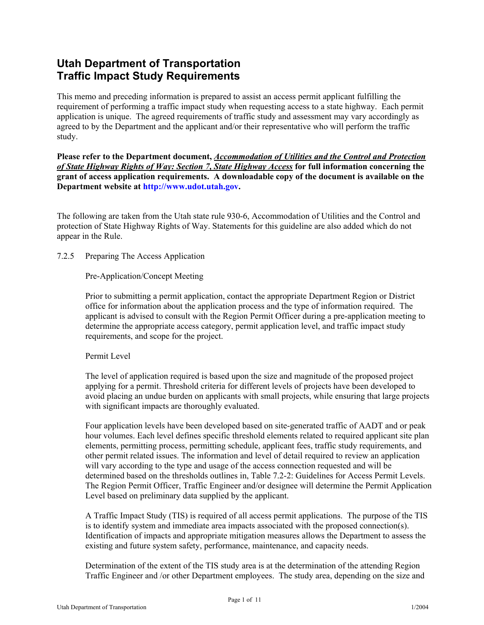# **Utah Department of Transportation Traffic Impact Study Requirements**

This memo and preceding information is prepared to assist an access permit applicant fulfilling the requirement of performing a traffic impact study when requesting access to a state highway. Each permit application is unique. The agreed requirements of traffic study and assessment may vary accordingly as agreed to by the Department and the applicant and/or their representative who will perform the traffic study.

**Please refer to the Department document,** *Accommodation of Utilities and the Control and Protection of State Highway Rights of Way: Section 7, State Highway Access* **for full information concerning the grant of access application requirements. A downloadable copy of the document is available on the Department website at http://www.udot.utah.gov.** 

The following are taken from the Utah state rule 930-6, Accommodation of Utilities and the Control and protection of State Highway Rights of Way. Statements for this guideline are also added which do not appear in the Rule.

7.2.5 Preparing The Access Application

Pre-Application/Concept Meeting

Prior to submitting a permit application, contact the appropriate Department Region or District office for information about the application process and the type of information required. The applicant is advised to consult with the Region Permit Officer during a pre-application meeting to determine the appropriate access category, permit application level, and traffic impact study requirements, and scope for the project.

### Permit Level

The level of application required is based upon the size and magnitude of the proposed project applying for a permit. Threshold criteria for different levels of projects have been developed to avoid placing an undue burden on applicants with small projects, while ensuring that large projects with significant impacts are thoroughly evaluated.

Four application levels have been developed based on site-generated traffic of AADT and or peak hour volumes. Each level defines specific threshold elements related to required applicant site plan elements, permitting process, permitting schedule, applicant fees, traffic study requirements, and other permit related issues. The information and level of detail required to review an application will vary according to the type and usage of the access connection requested and will be determined based on the thresholds outlines in, Table 7.2-2: Guidelines for Access Permit Levels. The Region Permit Officer, Traffic Engineer and/or designee will determine the Permit Application Level based on preliminary data supplied by the applicant.

A Traffic Impact Study (TIS) is required of all access permit applications. The purpose of the TIS is to identify system and immediate area impacts associated with the proposed connection(s). Identification of impacts and appropriate mitigation measures allows the Department to assess the existing and future system safety, performance, maintenance, and capacity needs.

Determination of the extent of the TIS study area is at the determination of the attending Region Traffic Engineer and /or other Department employees. The study area, depending on the size and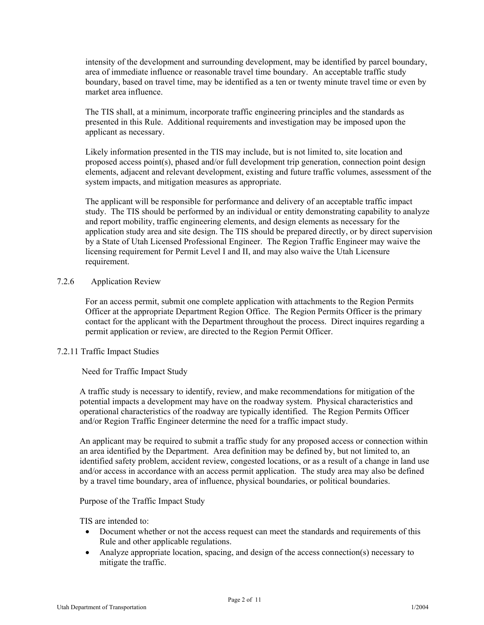intensity of the development and surrounding development, may be identified by parcel boundary, area of immediate influence or reasonable travel time boundary. An acceptable traffic study boundary, based on travel time, may be identified as a ten or twenty minute travel time or even by market area influence.

The TIS shall, at a minimum, incorporate traffic engineering principles and the standards as presented in this Rule. Additional requirements and investigation may be imposed upon the applicant as necessary.

Likely information presented in the TIS may include, but is not limited to, site location and proposed access point(s), phased and/or full development trip generation, connection point design elements, adjacent and relevant development, existing and future traffic volumes, assessment of the system impacts, and mitigation measures as appropriate.

The applicant will be responsible for performance and delivery of an acceptable traffic impact study. The TIS should be performed by an individual or entity demonstrating capability to analyze and report mobility, traffic engineering elements, and design elements as necessary for the application study area and site design. The TIS should be prepared directly, or by direct supervision by a State of Utah Licensed Professional Engineer. The Region Traffic Engineer may waive the licensing requirement for Permit Level I and II, and may also waive the Utah Licensure requirement.

#### 7.2.6 Application Review

For an access permit, submit one complete application with attachments to the Region Permits Officer at the appropriate Department Region Office. The Region Permits Officer is the primary contact for the applicant with the Department throughout the process. Direct inquires regarding a permit application or review, are directed to the Region Permit Officer.

#### 7.2.11 Traffic Impact Studies

### Need for Traffic Impact Study

A traffic study is necessary to identify, review, and make recommendations for mitigation of the potential impacts a development may have on the roadway system. Physical characteristics and operational characteristics of the roadway are typically identified. The Region Permits Officer and/or Region Traffic Engineer determine the need for a traffic impact study.

An applicant may be required to submit a traffic study for any proposed access or connection within an area identified by the Department. Area definition may be defined by, but not limited to, an identified safety problem, accident review, congested locations, or as a result of a change in land use and/or access in accordance with an access permit application. The study area may also be defined by a travel time boundary, area of influence, physical boundaries, or political boundaries.

#### Purpose of the Traffic Impact Study

TIS are intended to:

- Document whether or not the access request can meet the standards and requirements of this Rule and other applicable regulations.
- Analyze appropriate location, spacing, and design of the access connection(s) necessary to mitigate the traffic.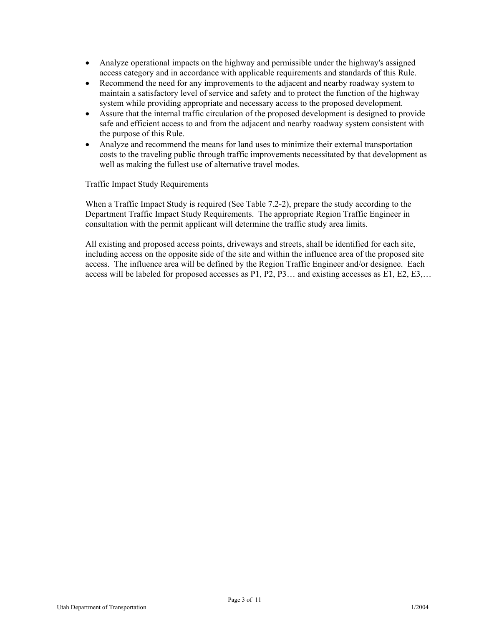- Analyze operational impacts on the highway and permissible under the highway's assigned access category and in accordance with applicable requirements and standards of this Rule.
- Recommend the need for any improvements to the adjacent and nearby roadway system to maintain a satisfactory level of service and safety and to protect the function of the highway system while providing appropriate and necessary access to the proposed development.
- Assure that the internal traffic circulation of the proposed development is designed to provide safe and efficient access to and from the adjacent and nearby roadway system consistent with the purpose of this Rule.
- Analyze and recommend the means for land uses to minimize their external transportation costs to the traveling public through traffic improvements necessitated by that development as well as making the fullest use of alternative travel modes.

Traffic Impact Study Requirements

When a Traffic Impact Study is required (See Table 7.2-2), prepare the study according to the Department Traffic Impact Study Requirements. The appropriate Region Traffic Engineer in consultation with the permit applicant will determine the traffic study area limits.

All existing and proposed access points, driveways and streets, shall be identified for each site, including access on the opposite side of the site and within the influence area of the proposed site access. The influence area will be defined by the Region Traffic Engineer and/or designee. Each access will be labeled for proposed accesses as P1, P2, P3… and existing accesses as E1, E2, E3,…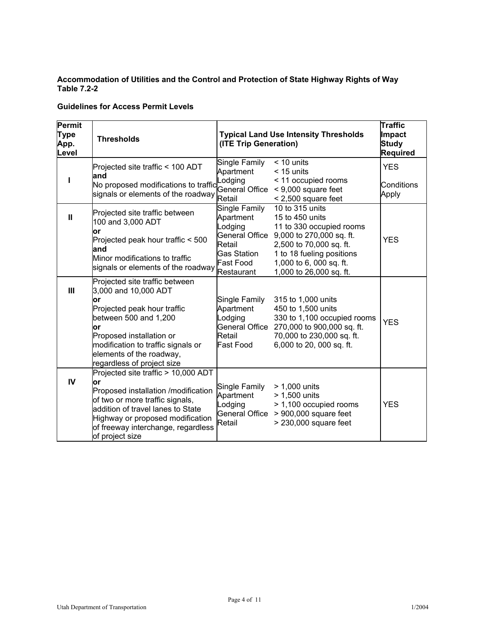#### **Accommodation of Utilities and the Control and Protection of State Highway Rights of Way Table 7.2-2**

# **Guidelines for Access Permit Levels**

| <b>Permit</b><br><b>Type</b><br>App.<br>Level | <b>Thresholds</b>                                                                                                                                                                                                                                      | (ITE Trip Generation)                                                                                                     | <b>Typical Land Use Intensity Thresholds</b>                                                                                                                                                             | <b>Traffic</b><br>Impact<br><b>Study</b><br>Required |
|-----------------------------------------------|--------------------------------------------------------------------------------------------------------------------------------------------------------------------------------------------------------------------------------------------------------|---------------------------------------------------------------------------------------------------------------------------|----------------------------------------------------------------------------------------------------------------------------------------------------------------------------------------------------------|------------------------------------------------------|
| ı                                             | Projected site traffic < 100 ADT<br>and<br>No proposed modifications to traffic<br>signals or elements of the roadway                                                                                                                                  | Single Family<br>Apartment<br>Lodging<br><b>General Office</b><br>Retail                                                  | $< 10$ units<br>$<$ 15 units<br>< 11 occupied rooms<br>$< 9,000$ square feet<br>$< 2,500$ square feet                                                                                                    | <b>YES</b><br>Conditions<br>Apply                    |
| $\mathbf{I}$                                  | Projected site traffic between<br>100 and 3,000 ADT<br>or<br>Projected peak hour traffic < 500<br>land<br>Minor modifications to traffic<br>signals or elements of the roadway                                                                         | <b>Single Family</b><br>Apartment<br>Lodging<br>General Office<br>Retail<br><b>Gas Station</b><br>Fast Food<br>Restaurant | 10 to 315 units<br>15 to 450 units<br>11 to 330 occupied rooms<br>9,000 to 270,000 sq. ft.<br>2,500 to 70,000 sq. ft.<br>1 to 18 fueling positions<br>1,000 to 6, 000 sq. ft.<br>1,000 to 26,000 sq. ft. | <b>YES</b>                                           |
| III                                           | Projected site traffic between<br>3,000 and 10,000 ADT<br>or<br>Projected peak hour traffic<br>between 500 and 1,200<br>or<br>Proposed installation or<br>modification to traffic signals or<br>elements of the roadway,<br>regardless of project size | Single Family<br>Apartment<br>Lodging<br>General Office<br>Retail<br>Fast Food                                            | 315 to 1,000 units<br>450 to 1,500 units<br>330 to 1,100 occupied rooms<br>270,000 to 900,000 sq. ft.<br>70,000 to 230,000 sq. ft.<br>6,000 to 20, 000 sq. ft.                                           | <b>YES</b>                                           |
| IV                                            | Projected site traffic > 10,000 ADT<br>lor<br>Proposed installation /modification<br>of two or more traffic signals,<br>addition of travel lanes to State<br>Highway or proposed modification<br>of freeway interchange, regardless<br>of project size | Single Family<br>Apartment<br>Lodging<br><b>General Office</b><br>Retail                                                  | > 1,000 units<br>> 1,500 units<br>> 1,100 occupied rooms<br>$> 900,000$ square feet<br>> 230,000 square feet                                                                                             | <b>YES</b>                                           |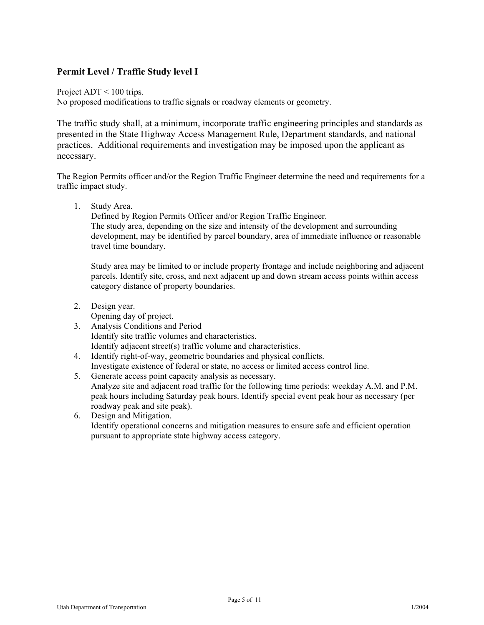# **Permit Level / Traffic Study level I**

Project ADT < 100 trips.

No proposed modifications to traffic signals or roadway elements or geometry.

The traffic study shall, at a minimum, incorporate traffic engineering principles and standards as presented in the State Highway Access Management Rule, Department standards, and national practices. Additional requirements and investigation may be imposed upon the applicant as necessary.

The Region Permits officer and/or the Region Traffic Engineer determine the need and requirements for a traffic impact study.

1. Study Area.

Defined by Region Permits Officer and/or Region Traffic Engineer. The study area, depending on the size and intensity of the development and surrounding development, may be identified by parcel boundary, area of immediate influence or reasonable travel time boundary.

Study area may be limited to or include property frontage and include neighboring and adjacent parcels. Identify site, cross, and next adjacent up and down stream access points within access category distance of property boundaries.

2. Design year.

Opening day of project.

- 3. Analysis Conditions and Period Identify site traffic volumes and characteristics. Identify adjacent street(s) traffic volume and characteristics.
- 4. Identify right-of-way, geometric boundaries and physical conflicts. Investigate existence of federal or state, no access or limited access control line.
- 5. Generate access point capacity analysis as necessary. Analyze site and adjacent road traffic for the following time periods: weekday A.M. and P.M. peak hours including Saturday peak hours. Identify special event peak hour as necessary (per roadway peak and site peak).
- 6. Design and Mitigation. Identify operational concerns and mitigation measures to ensure safe and efficient operation pursuant to appropriate state highway access category.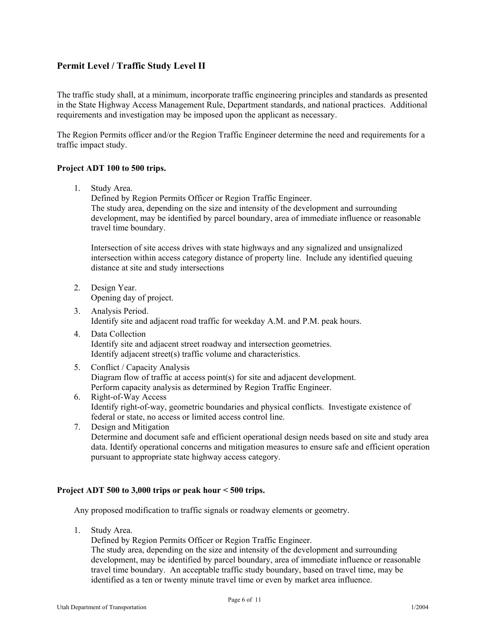# **Permit Level / Traffic Study Level II**

The traffic study shall, at a minimum, incorporate traffic engineering principles and standards as presented in the State Highway Access Management Rule, Department standards, and national practices. Additional requirements and investigation may be imposed upon the applicant as necessary.

The Region Permits officer and/or the Region Traffic Engineer determine the need and requirements for a traffic impact study.

### **Project ADT 100 to 500 trips.**

1. Study Area.

Defined by Region Permits Officer or Region Traffic Engineer. The study area, depending on the size and intensity of the development and surrounding development, may be identified by parcel boundary, area of immediate influence or reasonable travel time boundary.

Intersection of site access drives with state highways and any signalized and unsignalized intersection within access category distance of property line. Include any identified queuing distance at site and study intersections

- 2. Design Year. Opening day of project.
- 3. Analysis Period. Identify site and adjacent road traffic for weekday A.M. and P.M. peak hours.
- 4. Data Collection Identify site and adjacent street roadway and intersection geometries. Identify adjacent street(s) traffic volume and characteristics.
- 5. Conflict / Capacity Analysis Diagram flow of traffic at access point(s) for site and adjacent development. Perform capacity analysis as determined by Region Traffic Engineer.
- 6. Right-of-Way Access Identify right-of-way, geometric boundaries and physical conflicts. Investigate existence of federal or state, no access or limited access control line.
- 7. Design and Mitigation Determine and document safe and efficient operational design needs based on site and study area data. Identify operational concerns and mitigation measures to ensure safe and efficient operation pursuant to appropriate state highway access category.

### **Project ADT 500 to 3,000 trips or peak hour < 500 trips.**

Any proposed modification to traffic signals or roadway elements or geometry.

1. Study Area.

Defined by Region Permits Officer or Region Traffic Engineer.

The study area, depending on the size and intensity of the development and surrounding development, may be identified by parcel boundary, area of immediate influence or reasonable travel time boundary. An acceptable traffic study boundary, based on travel time, may be identified as a ten or twenty minute travel time or even by market area influence.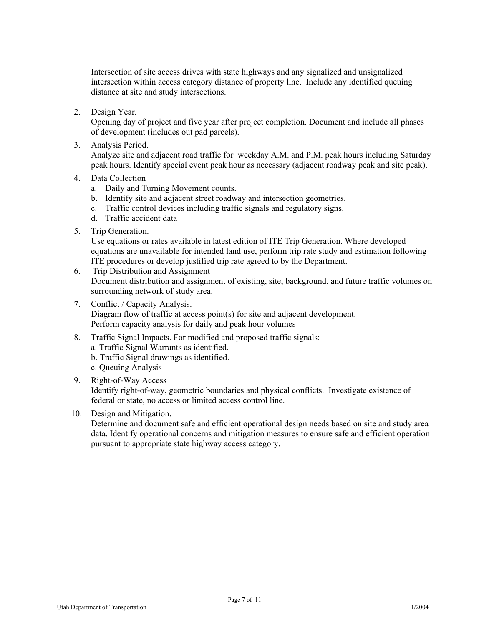Intersection of site access drives with state highways and any signalized and unsignalized intersection within access category distance of property line. Include any identified queuing distance at site and study intersections.

2. Design Year.

Opening day of project and five year after project completion. Document and include all phases of development (includes out pad parcels).

3. Analysis Period.

Analyze site and adjacent road traffic for weekday A.M. and P.M. peak hours including Saturday peak hours. Identify special event peak hour as necessary (adjacent roadway peak and site peak).

- 4. Data Collection
	- a. Daily and Turning Movement counts.
	- b. Identify site and adjacent street roadway and intersection geometries.
	- c. Traffic control devices including traffic signals and regulatory signs.
	- d. Traffic accident data
- 5. Trip Generation.

Use equations or rates available in latest edition of ITE Trip Generation. Where developed equations are unavailable for intended land use, perform trip rate study and estimation following ITE procedures or develop justified trip rate agreed to by the Department.

- 6. Trip Distribution and Assignment Document distribution and assignment of existing, site, background, and future traffic volumes on surrounding network of study area.
- 7. Conflict / Capacity Analysis. Diagram flow of traffic at access point(s) for site and adjacent development. Perform capacity analysis for daily and peak hour volumes
- 8. Traffic Signal Impacts. For modified and proposed traffic signals: a. Traffic Signal Warrants as identified. b. Traffic Signal drawings as identified.
	- c. Queuing Analysis
- 9. Right-of-Way Access Identify right-of-way, geometric boundaries and physical conflicts. Investigate existence of federal or state, no access or limited access control line.
- 10. Design and Mitigation.

Determine and document safe and efficient operational design needs based on site and study area data. Identify operational concerns and mitigation measures to ensure safe and efficient operation pursuant to appropriate state highway access category.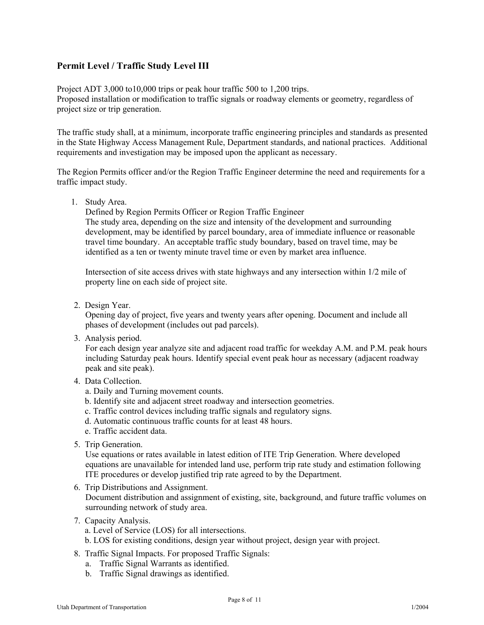# **Permit Level / Traffic Study Level III**

Project ADT 3,000 to10,000 trips or peak hour traffic 500 to 1,200 trips. Proposed installation or modification to traffic signals or roadway elements or geometry, regardless of project size or trip generation.

The traffic study shall, at a minimum, incorporate traffic engineering principles and standards as presented in the State Highway Access Management Rule, Department standards, and national practices. Additional requirements and investigation may be imposed upon the applicant as necessary.

The Region Permits officer and/or the Region Traffic Engineer determine the need and requirements for a traffic impact study.

1. Study Area.

Defined by Region Permits Officer or Region Traffic Engineer The study area, depending on the size and intensity of the development and surrounding development, may be identified by parcel boundary, area of immediate influence or reasonable travel time boundary. An acceptable traffic study boundary, based on travel time, may be identified as a ten or twenty minute travel time or even by market area influence.

Intersection of site access drives with state highways and any intersection within 1/2 mile of property line on each side of project site.

2. Design Year.

Opening day of project, five years and twenty years after opening. Document and include all phases of development (includes out pad parcels).

3. Analysis period.

For each design year analyze site and adjacent road traffic for weekday A.M. and P.M. peak hours including Saturday peak hours. Identify special event peak hour as necessary (adjacent roadway peak and site peak).

- 4. Data Collection.
	- a. Daily and Turning movement counts.
	- b. Identify site and adjacent street roadway and intersection geometries.
	- c. Traffic control devices including traffic signals and regulatory signs.
	- d. Automatic continuous traffic counts for at least 48 hours.
	- e. Traffic accident data.
- 5. Trip Generation.

Use equations or rates available in latest edition of ITE Trip Generation. Where developed equations are unavailable for intended land use, perform trip rate study and estimation following ITE procedures or develop justified trip rate agreed to by the Department.

- 6. Trip Distributions and Assignment. Document distribution and assignment of existing, site, background, and future traffic volumes on surrounding network of study area.
- 7. Capacity Analysis.
	- a. Level of Service (LOS) for all intersections.

b. LOS for existing conditions, design year without project, design year with project.

- 8. Traffic Signal Impacts. For proposed Traffic Signals:
	- a. Traffic Signal Warrants as identified.
	- b. Traffic Signal drawings as identified.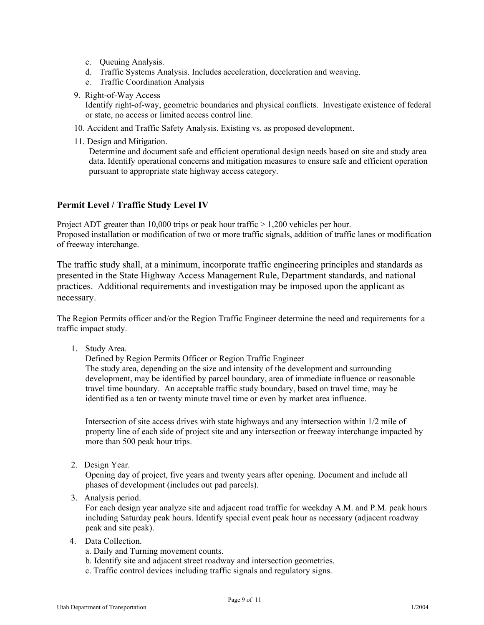- c. Queuing Analysis.
- d. Traffic Systems Analysis. Includes acceleration, deceleration and weaving.
- e. Traffic Coordination Analysis
- 9. Right-of-Way Access

Identify right-of-way, geometric boundaries and physical conflicts. Investigate existence of federal or state, no access or limited access control line.

- 10. Accident and Traffic Safety Analysis. Existing vs. as proposed development.
- 11. Design and Mitigation.

Determine and document safe and efficient operational design needs based on site and study area data. Identify operational concerns and mitigation measures to ensure safe and efficient operation pursuant to appropriate state highway access category.

## **Permit Level / Traffic Study Level IV**

Project ADT greater than 10,000 trips or peak hour traffic  $> 1,200$  vehicles per hour. Proposed installation or modification of two or more traffic signals, addition of traffic lanes or modification of freeway interchange.

The traffic study shall, at a minimum, incorporate traffic engineering principles and standards as presented in the State Highway Access Management Rule, Department standards, and national practices. Additional requirements and investigation may be imposed upon the applicant as necessary.

The Region Permits officer and/or the Region Traffic Engineer determine the need and requirements for a traffic impact study.

1. Study Area.

Defined by Region Permits Officer or Region Traffic Engineer The study area, depending on the size and intensity of the development and surrounding development, may be identified by parcel boundary, area of immediate influence or reasonable travel time boundary. An acceptable traffic study boundary, based on travel time, may be identified as a ten or twenty minute travel time or even by market area influence.

Intersection of site access drives with state highways and any intersection within 1/2 mile of property line of each side of project site and any intersection or freeway interchange impacted by more than 500 peak hour trips.

2. Design Year.

Opening day of project, five years and twenty years after opening. Document and include all phases of development (includes out pad parcels).

3. Analysis period.

For each design year analyze site and adjacent road traffic for weekday A.M. and P.M. peak hours including Saturday peak hours. Identify special event peak hour as necessary (adjacent roadway peak and site peak).

- 4. Data Collection.
	- a. Daily and Turning movement counts.
	- b. Identify site and adjacent street roadway and intersection geometries.
	- c. Traffic control devices including traffic signals and regulatory signs.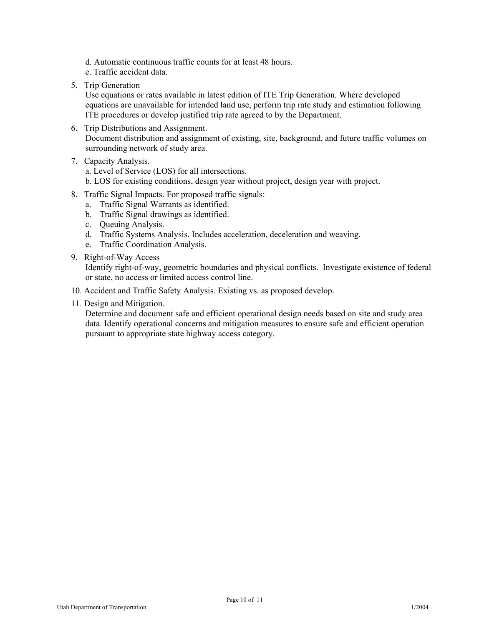- d. Automatic continuous traffic counts for at least 48 hours.
- e. Traffic accident data.
- 5. Trip Generation

Use equations or rates available in latest edition of ITE Trip Generation. Where developed equations are unavailable for intended land use, perform trip rate study and estimation following ITE procedures or develop justified trip rate agreed to by the Department.

- 6. Trip Distributions and Assignment. Document distribution and assignment of existing, site, background, and future traffic volumes on surrounding network of study area.
- 7. Capacity Analysis.

a. Level of Service (LOS) for all intersections.

- b. LOS for existing conditions, design year without project, design year with project.
- 8. Traffic Signal Impacts. For proposed traffic signals:
	- a. Traffic Signal Warrants as identified.
	- b. Traffic Signal drawings as identified.
	- c. Queuing Analysis.
	- d. Traffic Systems Analysis. Includes acceleration, deceleration and weaving.
	- e. Traffic Coordination Analysis.
- 9. Right-of-Way Access

Identify right-of-way, geometric boundaries and physical conflicts. Investigate existence of federal or state, no access or limited access control line.

- 10. Accident and Traffic Safety Analysis. Existing vs. as proposed develop.
- 11. Design and Mitigation.

Determine and document safe and efficient operational design needs based on site and study area data. Identify operational concerns and mitigation measures to ensure safe and efficient operation pursuant to appropriate state highway access category.